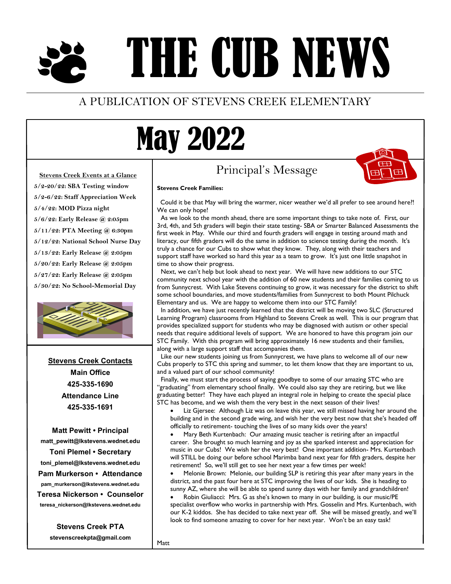# THE CUB NEWS

### A PUBLICATION OF STEVENS CREEK ELEMENTARY

## May 2022

### Principal's Message



#### **Stevens Creek Events at a Glance**

**5/2-20/22: SBA Testing window 5/2-6/22: Staff Appreciation Week 5/4/22: MOD Pizza night 5/6/22: Early Release @ 2:05pm 5/11/22: PTA Meeting @ 6:30pm 5/12/22: National School Nurse Day 5/13/22: Early Release @ 2:05pm**

**5/20/22: Early Release @ 2:05pm 5/27/22: Early Release @ 2:05pm 5/30/22: No School-Memorial Day**



**Stevens Creek Contacts Main Office 425-335-1690 Attendance Line 425-335-1691**

**Matt Pewitt • Principal matt\_pewitt@lkstevens.wednet.edu Toni Plemel • Secretary toni\_plemel@lkstevens.wednet.edu Pam Murkerson • Attendance pam\_murkerson@lkstevens.wednet.edu Teresa Nickerson • Counselor teresa\_nickerson@lkstevens.wednet.edu**

**Stevens Creek PTA**

**stevenscreekpta@gmail.com**

#### **Stevens Creek Families:**

 Could it be that May will bring the warmer, nicer weather we'd all prefer to see around here?! We can only hope!

As we look to the month ahead, there are some important things to take note of. First, our 3rd, 4th, and 5th graders will begin their state testing- SBA or Smarter Balanced Assessments the first week in May. While our third and fourth graders will engage in testing around math and literacy, our fifth graders will do the same in addition to science testing during the month. It's truly a chance for our Cubs to show what they know. They, along with their teachers and support staff have worked so hard this year as a team to grow. It's just one little snapshot in time to show their progress.

Next, we can't help but look ahead to next year. We will have new additions to our STC community next school year with the addition of 60 new students and their families coming to us from Sunnycrest. With Lake Stevens continuing to grow, it was necessary for the district to shift some school boundaries, and move students/families from Sunnycrest to both Mount Pilchuck Elementary and us. We are happy to welcome them into our STC Family!

In addition, we have just recently learned that the district will be moving two SLC (Structured Learning Program) classrooms from Highland to Stevens Creek as well. This is our program that provides specialized support for students who may be diagnosed with autism or other special needs that require additional levels of support. We are honored to have this program join our STC Family. With this program will bring approximately 16 new students and their families, along with a large support staff that accompanies them.

Like our new students joining us from Sunnycrest, we have plans to welcome all of our new Cubs properly to STC this spring and summer, to let them know that they are important to us, and a valued part of our school community!

Finally, we must start the process of saying goodbye to some of our amazing STC who are "graduating" from elementary school finally. We could also say they are retiring, but we like graduating better! They have each played an integral role in helping to create the special place STC has become, and we wish them the very best in the next season of their lives!

 Liz Gjersee: Although Liz was on leave this year, we still missed having her around the building and in the second grade wing, and wish her the very best now that she's headed off officially to retirement- touching the lives of so many kids over the years!

 Mary Beth Kurtenbach: Our amazing music teacher is retiring after an impactful career. She brought so much learning and joy as she sparked interest and appreciation for music in our Cubs! We wish her the very best! One important addition- Mrs. Kurtenbach will STILL be doing our before school Marimba band next year for fifth graders, despite her retirement! So, we'll still get to see her next year a few times per week!

 Melonie Brown: Melonie, our building SLP is retiring this year after many years in the district, and the past four here at STC improving the lives of our kids. She is heading to sunny AZ, where she will be able to spend sunny days with her family and grandchildren!

 Robin Giuliacci: Mrs. G as she's known to many in our building, is our music/PE specialist overflow who works in partnership with Mrs. Gosselin and Mrs. Kurtenbach, with our K-2 kiddos. She has decided to take next year off. She will be missed greatly, and we'll look to find someone amazing to cover for her next year. Won't be an easy task!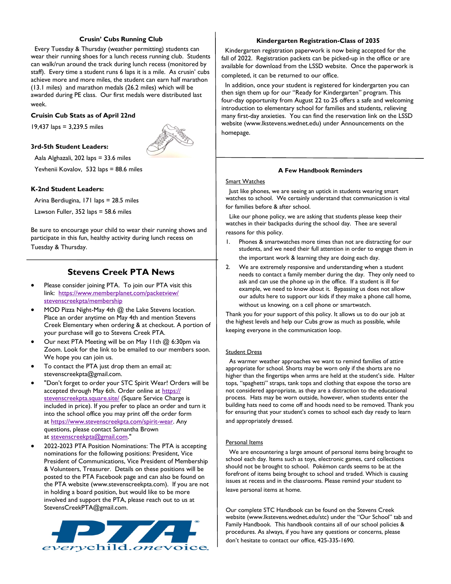#### **Crusin' Cubs Running Club**

 Every Tuesday & Thursday (weather permitting) students can wear their running shoes for a lunch recess running club. Students can walk/run around the track during lunch recess (monitored by staff). Every time a student runs 6 laps it is a mile. As crusin' cubs achieve more and more miles, the student can earn half marathon (13.1 miles) and marathon medals (26.2 miles) which will be awarded during PE class. Our first medals were distributed last week.

#### **Cruisin Cub Stats as of April 22nd**

19,437 laps = 3,239.5 miles



#### **3rd-5th Student Leaders:**

Aala Alghazali, 202 laps = 33.6 miles

Yevhenii Kovalov, 532 laps = 88.6 miles

#### **K-2nd Student Leaders:**

Arina Berdiugina, 171 laps = 28.5 miles

Lawson Fuller, 352 laps = 58.6 miles

Be sure to encourage your child to wear their running shows and participate in this fun, healthy activity during lunch recess on Tuesday & Thursday.

#### **Stevens Creek PTA News**

- Please consider joining PTA. To join our PTA visit this link: [https://www.memberplanet.com/packetview/](https://www.memberplanet.com/packetview/stevenscreekpta/membership) [stevenscreekpta/membership](https://www.memberplanet.com/packetview/stevenscreekpta/membership)
- MOD Pizza Night-May 4th @ the Lake Stevens location. Place an order anytime on May 4th and mention Stevens Creek Elementary when ordering & at checkout. A portion of your purchase will go to Stevens Creek PTA.
- Our next PTA Meeting will be on May 11th @ 6:30pm via Zoom. Look for the link to be emailed to our members soon. We hope you can join us.
- To contact the PTA just drop them an email at: stevenscreekpta@gmail.com.
- "Don't forget to order your STC Spirit Wear! Orders will be accepted through May 6th. Order online at [https://](https://l.facebook.com/l.php?u=https%3A%2F%2Fstevenscreekpta.square.site%2F%3Ffbclid%3DIwAR2vv-9vOyOOD27OZrloBIOkS9oBlUxhYAuD4YBK5pflUv_yQT11Q4egZIM&h=AT2i01yXrbv474YhbsxTNnvbkJ-0evs6GyLPoWLQ7WE9KJzbbCiqk6AsewlZV-g4MnnoYsszbCoyRg36634MKjQCiOMkT8HOs8D8Oh5dlcUd) [stevenscreekpta.square.site/](https://l.facebook.com/l.php?u=https%3A%2F%2Fstevenscreekpta.square.site%2F%3Ffbclid%3DIwAR2vv-9vOyOOD27OZrloBIOkS9oBlUxhYAuD4YBK5pflUv_yQT11Q4egZIM&h=AT2i01yXrbv474YhbsxTNnvbkJ-0evs6GyLPoWLQ7WE9KJzbbCiqk6AsewlZV-g4MnnoYsszbCoyRg36634MKjQCiOMkT8HOs8D8Oh5dlcUd) (Square Service Charge is included in price). If you prefer to place an order and turn it into the school office you may print off the order form at [https://www.stevenscreekpta.com/spirit-wear.](https://l.facebook.com/l.php?u=https%3A%2F%2Fwww.stevenscreekpta.com%2Fspirit-wear%3Ffbclid%3DIwAR2ZgHCr31bJ5Mxg2PuVX2orfNHEpYaoJ-Kpz1yi-TaazjrbhvsJFCam4TE&h=AT0KuJCYMP17gVCiYXzpklRumFSvVClRfi9rzrBfaeA793HnjyY7Brr2y1ZlY4XO01_NtAWTTfdTqJA4KZC9PqX1asEXmRse3Y9c1) Any questions, please contact Samantha Brown at [stevenscreekpta@gmail.com.](mailto:stevenscreekpta@gmail.com)"
- 2022-2023 PTA Position Nominations: The PTA is accepting nominations for the following positions: President, Vice President of Communications, Vice President of Membership & Volunteers, Treasurer. Details on these positions will be posted to the PTA Facebook page and can also be found on the PTA website (www.stevenscreekpta.com). If you are not in holding a board position, but would like to be more involved and support the PTA, please reach out to us at StevensCreekPTA@gmail.com.



#### **Kindergarten Registration-Class of 2035**

 Kindergarten registration paperwork is now being accepted for the fall of 2022. Registration packets can be picked-up in the office or are available for download from the LSSD website. Once the paperwork is completed, it can be returned to our office.

 In addition, once your student is registered for kindergarten you can then sign them up for our "Ready for Kindergarten" program. This four-day opportunity from August 22 to 25 offers a safe and welcoming introduction to elementary school for families and students, relieving many first-day anxieties. You can find the reservation link on the LSSD website (www.lkstevens.wednet.edu) under Announcements on the homepage.

#### **A Few Handbook Reminders**

#### Smart Watches

 Just like phones, we are seeing an uptick in students wearing smart watches to school. We certainly understand that communication is vital for families before & after school.

 Like our phone policy, we are asking that students please keep their watches in their backpacks during the school day. Thee are several reasons for this policy.

- 1. Phones & smartwatches more times than not are distracting for our students, and we need their full attention in order to engage them in the important work & learning they are doing each day.
- 2. We are extremely responsive and understanding when a student needs to contact a family member during the day. They only need to ask and can use the phone up in the office. If a student is ill for example, we need to know about it. Bypassing us does not allow our adults here to support our kids if they make a phone call home, without us knowing, on a cell phone or smartwatch.

Thank you for your support of this policy. It allows us to do our job at the highest levels and help our Cubs grow as much as possible, while keeping everyone in the communication loop.

#### **Student Dress**

 As warmer weather approaches we want to remind families of attire appropriate for school. Shorts may be worn only if the shorts are no higher than the fingertips when arms are held at the student's side. Halter tops, "spaghetti" straps, tank tops and clothing that expose the torso are not considered appropriate, as they are a distraction to the educational process. Hats may be worn outside, however, when students enter the building hats need to come off and hoods need to be removed. Thank you for ensuring that your student's comes to school each day ready to learn and appropriately dressed.

#### Personal Items

 We are encountering a large amount of personal items being brought to school each day. Items such as toys, electronic games, card collections should not be brought to school. Pokémon cards seems to be at the forefront of items being brought to school and traded. Which is causing issues at recess and in the classrooms. Please remind your student to leave personal items at home.

Our complete STC Handbook can be found on the Stevens Creek website (www.lkstevens.wednet.edu/stc) under the "Our School" tab and Family Handbook. This handbook contains all of our school policies & procedures. As always, if you have any questions or concerns, please don't hesitate to contact our office, 425-335-1690.